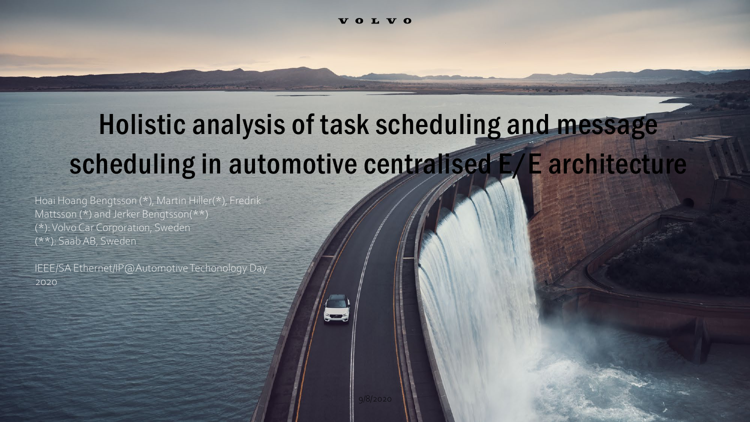# Holistic analysis of task scheduling and message scheduling in automotive centralised E/E architecture

Hoai Hoang Bengtsson (\*), Martin Hiller(\*), Fredrik Mattsson (\*) and Jerker Bengtsson(\*\*) (\*): Volvo Car Corporation, Sweden (\*\*): Saab AB, Sweden

IEEE/SA Ethernet/IP@AutomotiveTechonology Day 2020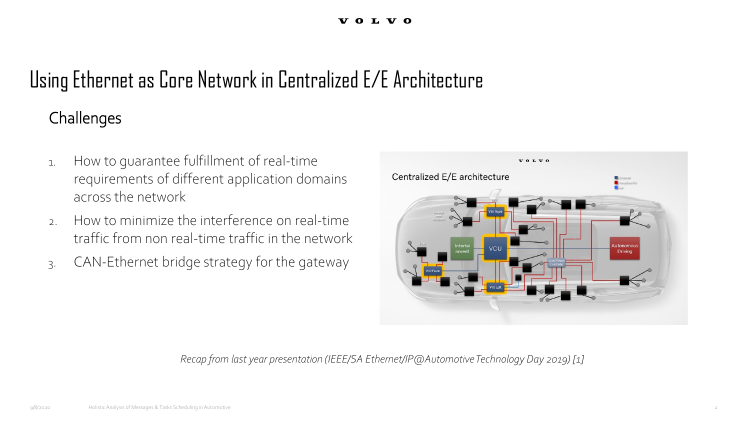## Using Ethernet as Core Network in Centralized E/E Architecture

### **Challenges**

- 1. How to guarantee fulfillment of real-time requirements of different application domains across the network
- 2. How to minimize the interference on real-time traffic from non real-time traffic in the network
- 3. CAN-Ethernet bridge strategy for the gateway



*Recap from last year presentation (IEEE/SA Ethernet/IP@AutomotiveTechnology Day 2019) [1]*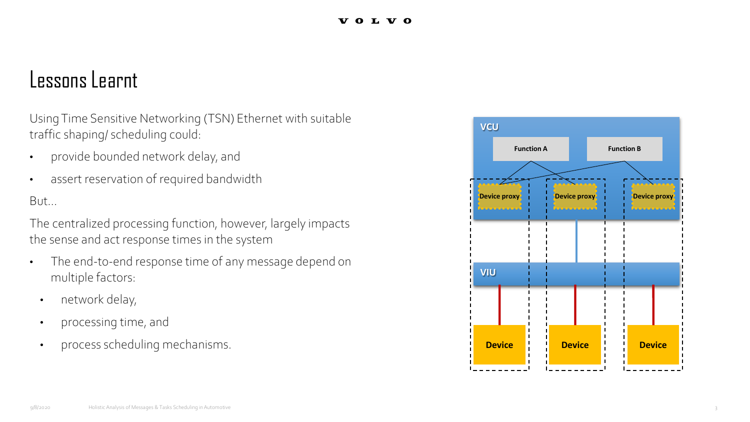### Lessons Learnt

Using Time Sensitive Networking (TSN) Ethernet with suitable traffic shaping/ scheduling could:

- provide bounded network delay, and
- assert reservation of required bandwidth

But...

The centralized processing function, however, largely impacts the sense and act response times in the system

- The end-to-end response time of any message depend on multiple factors:
- network delay,
- processing time, and
- process scheduling mechanisms.

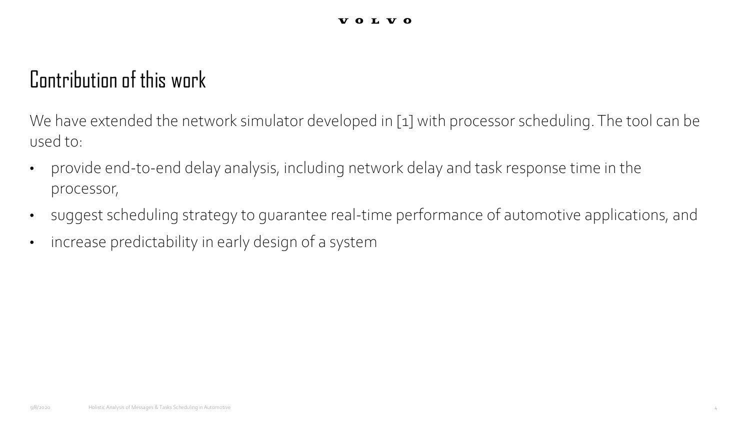### Contribution of this work

We have extended the network simulator developed in [1] with processor scheduling. The tool can be used to:

- provide end-to-end delay analysis, including network delay and task response time in the processor,
- suggest scheduling strategy to guarantee real-time performance of automotive applications, and
- increase predictability in early design of a system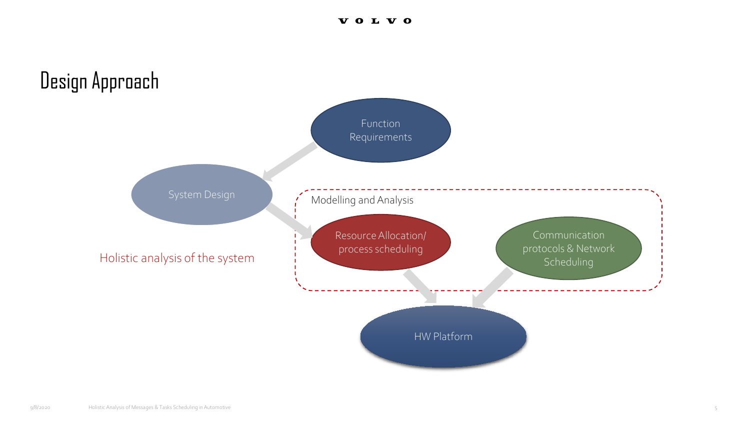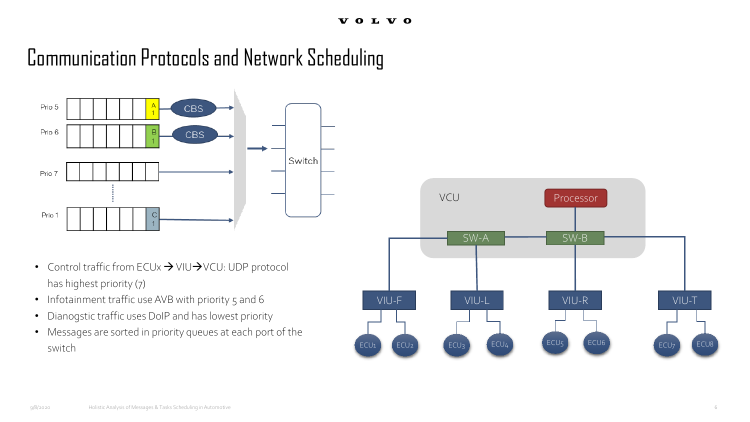## Communication Protocols and Network Scheduling



- Control traffic from ECUx  $\rightarrow$  VIU $\rightarrow$ VCU: UDP protocol has highest priority (7)
- Infotainment traffic use AVB with priority 5 and 6
- Dianogstic traffic uses DoIP and has lowest priority
- Messages are sorted in priority queues at each port of the switch

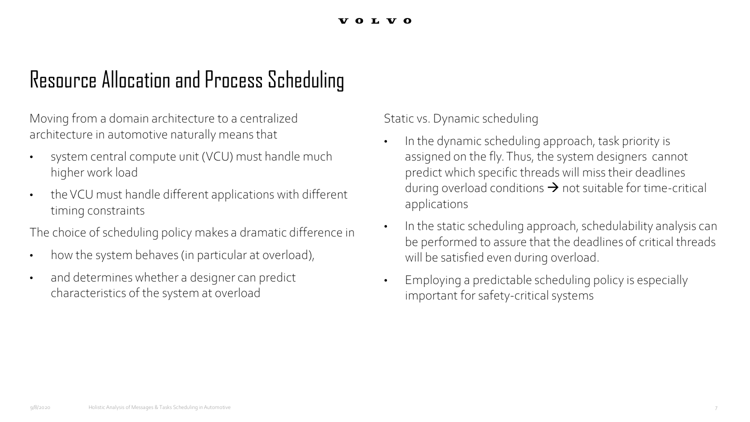## Resource Allocation and Process Scheduling

Moving from a domain architecture to a centralized architecture in automotive naturally meansthat

- system central compute unit (VCU) must handle much higher work load
- the VCU must handle different applications with different timing constraints

The choice of scheduling policy makes a dramatic difference in

- how the system behaves (in particular at overload),
- and determines whether a designer can predict characteristics of the system at overload

Static vs. Dynamic scheduling

- In the dynamic scheduling approach, task priority is assigned on the fly. Thus, the system designers cannot predict which specific threads will miss their deadlines during overload conditions  $\rightarrow$  not suitable for time-critical applications
- In the static scheduling approach, schedulability analysis can be performed to assure that the deadlines of critical threads will be satisfied even during overload.
- Employing a predictable scheduling policy is especially important for safety-critical systems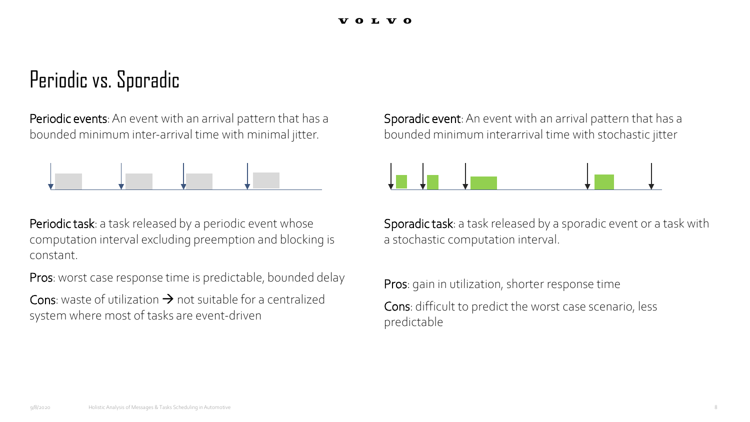### Periodic vs. Sporadic

Periodic events: An event with an arrival pattern that has a bounded minimum inter-arrival time with minimal jitter.



Periodic task: a task released by a periodic event whose computation interval excluding preemption and blocking is constant.

Pros: worst case response time is predictable, bounded delay

Cons: waste of utilization  $\rightarrow$  not suitable for a centralized system where most of tasks are event-driven

Sporadic event: An event with an arrival pattern that has a bounded minimum interarrival time with stochastic jitter



Sporadic task: a task released by a sporadic event or a task with a stochastic computation interval.

Pros: gain in utilization, shorter response time Cons: difficult to predict the worst case scenario, less predictable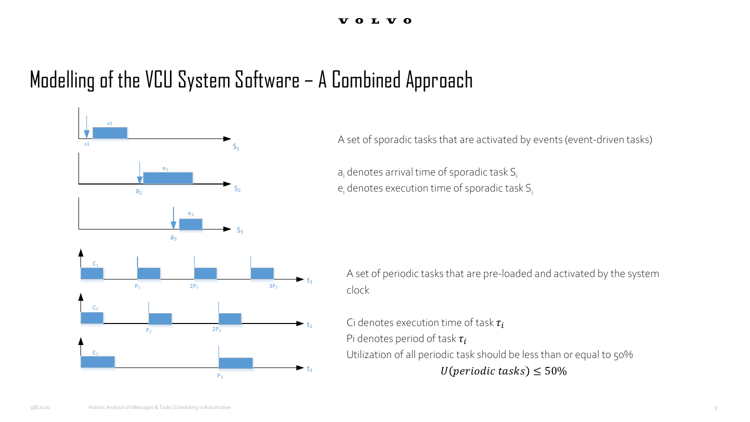## Modelling of the VCU System Software – A Combined Approach



A set of sporadic tasks that are activated by events (event-driven tasks)

 $a_i$  denotes arrival time of sporadic task  $S_i$  $e_i$  denotes execution time of sporadic task  $S_i$ 

A set of periodic tasks that are pre-loaded and activated by the system clock

Ci denotes execution time of task  $\tau_i$ Pi denotes period of task  $\tau_i$ Utilization of all periodic task should be less than or equal to 50%  $U(\text{periodic tasks}) \leq 50\%$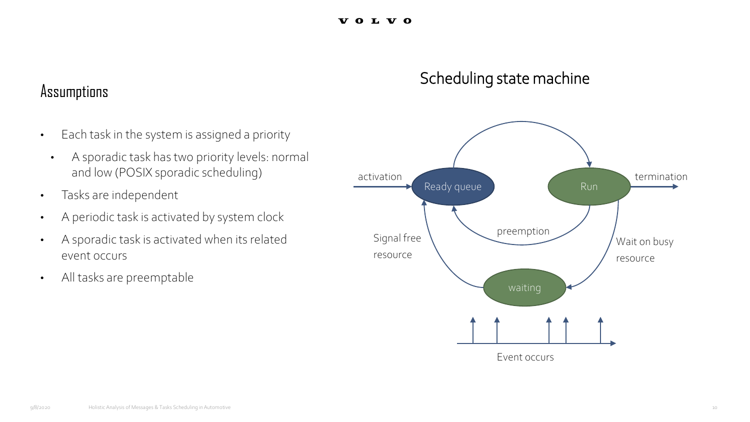### Scheduling state machine

# Assumptions

- Each task in the system is assigned a priority
	- A sporadic task has two priority levels: normal and low (POSIX sporadic scheduling)
- Tasks are independent
- A periodic task is activated by system clock
- A sporadic task is activated when its related event occurs
- All tasks are preemptable

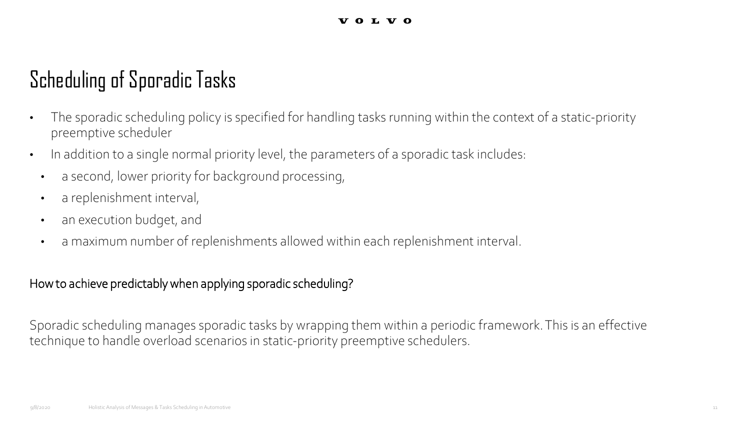## Scheduling of Sporadic Tasks

- The sporadic scheduling policy is specified for handling tasks running within the context of a static-priority preemptive scheduler
- In addition to a single normal priority level, the parameters of a sporadic task includes:
- a second, lower priority for background processing,
- a replenishment interval,
- an execution budget, and
- a maximum number of replenishments allowed within each replenishment interval.

### How to achieve predictably when applying sporadic scheduling?

Sporadic scheduling manages sporadic tasks by wrapping them within a periodic framework. This is an effective technique to handle overload scenarios in static-priority preemptive schedulers.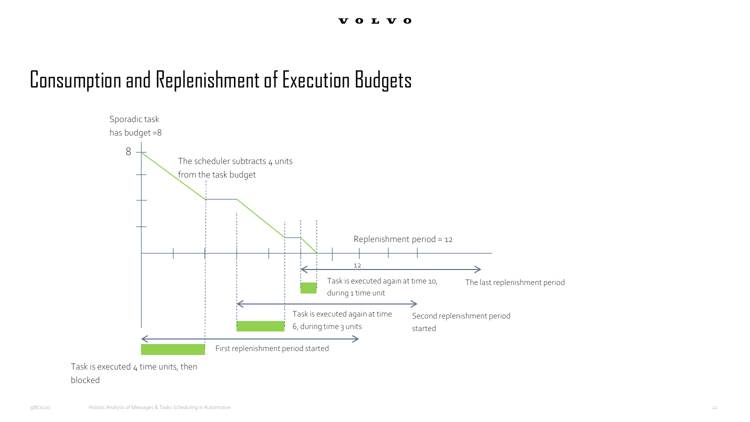## Consumption and Replenishment of Execution Budgets



### blocked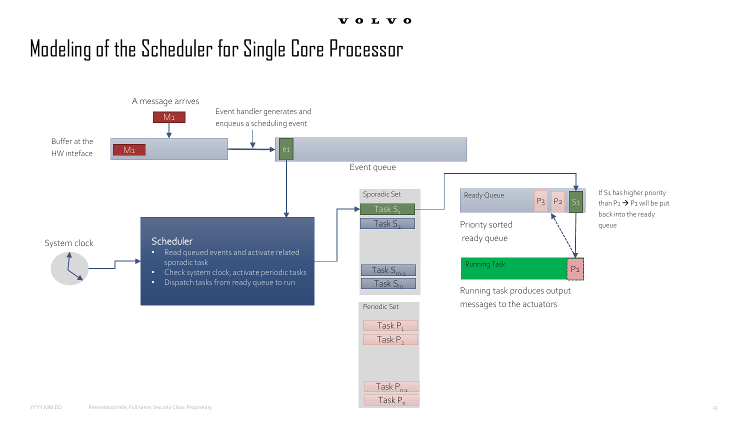### Modeling of the Scheduler for Single Core Processor

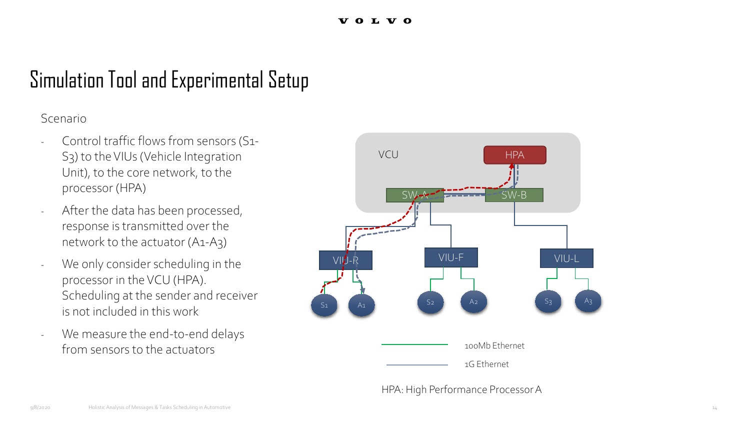## Simulation Tool and Experimental Setup

Scenario

- Control traffic flows from sensors (S1-S3) to the VIUs(Vehicle Integration Unit), to the core network, to the processor (HPA)
- After the data has been processed, response is transmitted over the network to the actuator (A1-A3)
- We only consider scheduling in the processor in the VCU (HPA). Scheduling at the sender and receiver is not included in this work
- We measure the end-to-end delays from sensors to the actuators



HPA: High Performance Processor A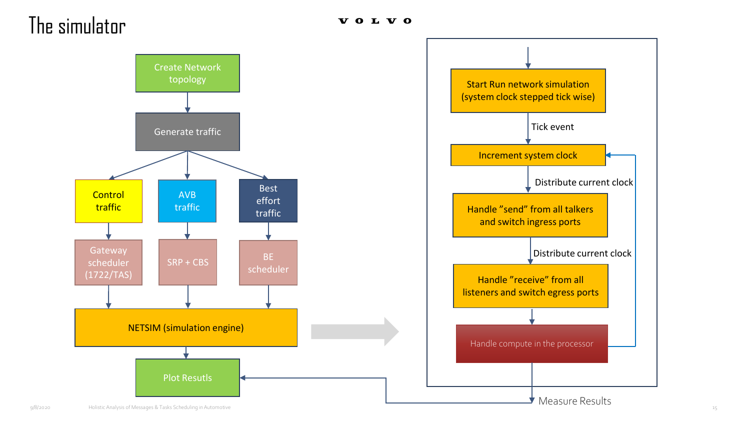### The simulator

**VOLVO** 





Measure Results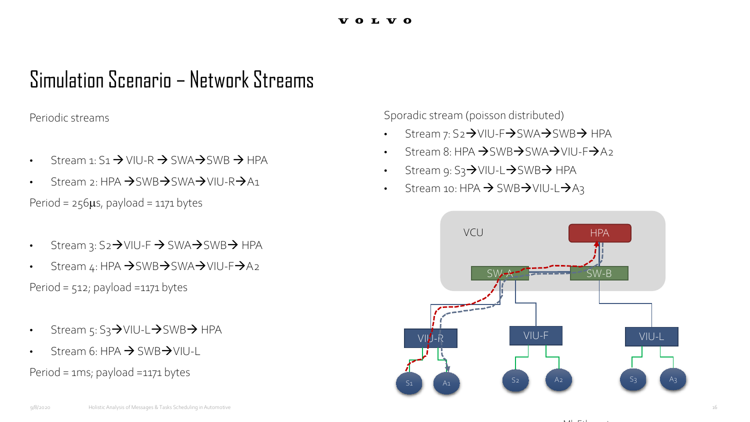### Simulation Scenario – Network Streams

Periodic streams

- Stream 1:  $S_1 \rightarrow$  VIU-R  $\rightarrow$  SWA $\rightarrow$  SWB  $\rightarrow$  HPA
- $\frac{1}{2}$  Stream 2: HPA  $\rightarrow$  SWB $\rightarrow$  SWA $\rightarrow$  VIU-R $\rightarrow$  A1

Period =  $256\mu s$ , payload = 1171 bytes

- Stream 3:  $S_2 \rightarrow$  VIU-F  $\rightarrow$  SWA $\rightarrow$  SWB $\rightarrow$  HPA
- Stream 4: HPA  $\rightarrow$  SWB $\rightarrow$  SWA $\rightarrow$  VIU-F $\rightarrow$  A2 Period =  $512$ ; payload = 1171 bytes
- Stream 5: S3→VIU-L→SWB→ HPA
- $6: HPA \rightarrow SWB \rightarrow VIII-I$

Period = 1ms; payload =1171 bytes

Sporadic stream (poisson distributed)

- Stream 7: S2 $\rightarrow$ VIU-F $\rightarrow$ SWA $\rightarrow$ SWB $\rightarrow$  HPA
- Stream 8: HPA  $\rightarrow$  SWB $\rightarrow$  SWA $\rightarrow$  VIU-F $\rightarrow$  A<sub>2</sub>
- Stream 9:  $S_3$  $\rightarrow$  VIU-L $\rightarrow$  SWB $\rightarrow$  HPA
- Stream 10: HPA  $\rightarrow$  SWB $\rightarrow$ VIU-L $\rightarrow$ A3



 $\sim$   $\sim$   $\sim$   $\sim$   $\sim$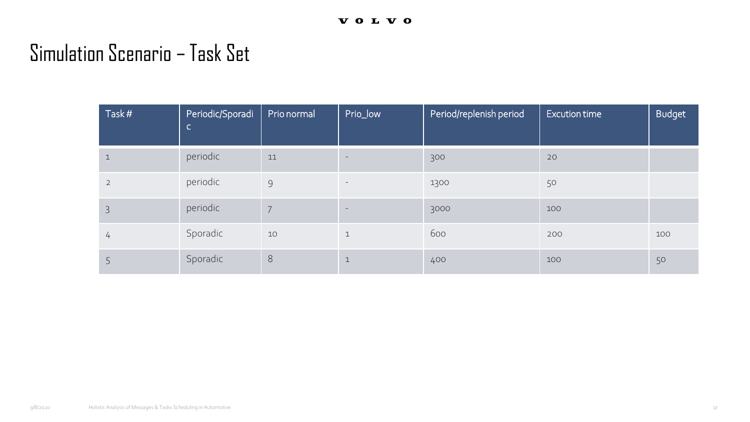### Simulation Scenario – Task Set

| Task#        | Periodic/Sporadi<br>$\mathsf{C}$ | Prio normal | Prio_low                 | Period/replenish period | <b>Excution time</b> | <b>Budget</b> |
|--------------|----------------------------------|-------------|--------------------------|-------------------------|----------------------|---------------|
| $\mathbf{1}$ | periodic                         | 11          | $\overline{\phantom{a}}$ | 300                     | 20                   |               |
| 2            | periodic                         | 9           | $\sim$                   | 1300                    | 50                   |               |
| 3            | periodic                         | 7           | $\qquad \qquad -$        | 3000                    | 100                  |               |
| 4            | Sporadic                         | 10          | $\mathbf{1}$             | 600                     | 200                  | 100           |
|              | Sporadic                         | $8\,$       | $\mathbf{1}$             | 400                     | 100                  | 50            |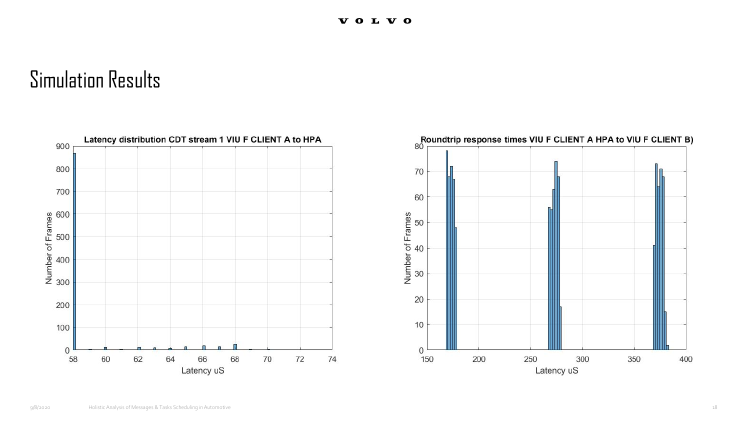

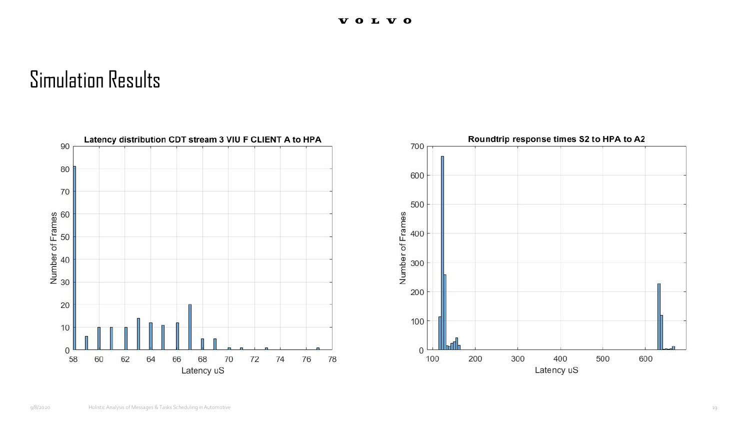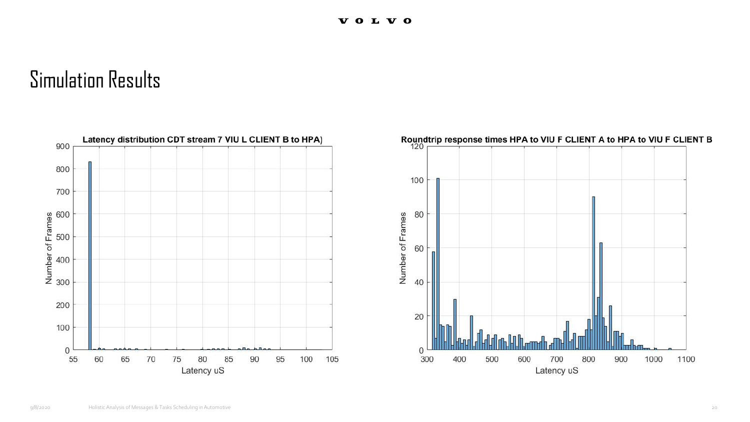![](_page_19_Figure_2.jpeg)

![](_page_19_Figure_3.jpeg)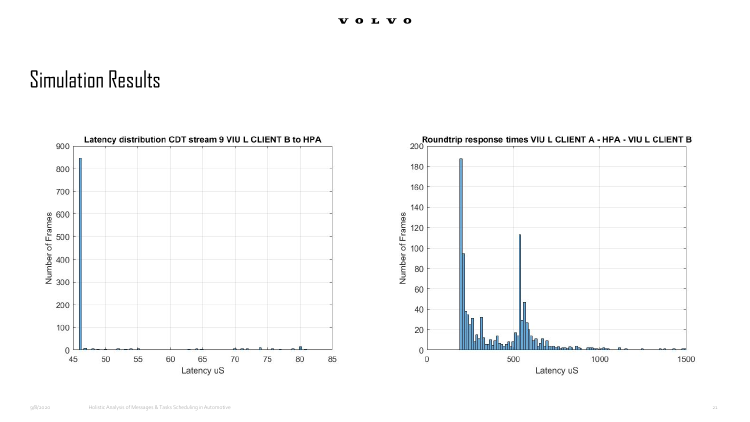![](_page_20_Figure_2.jpeg)